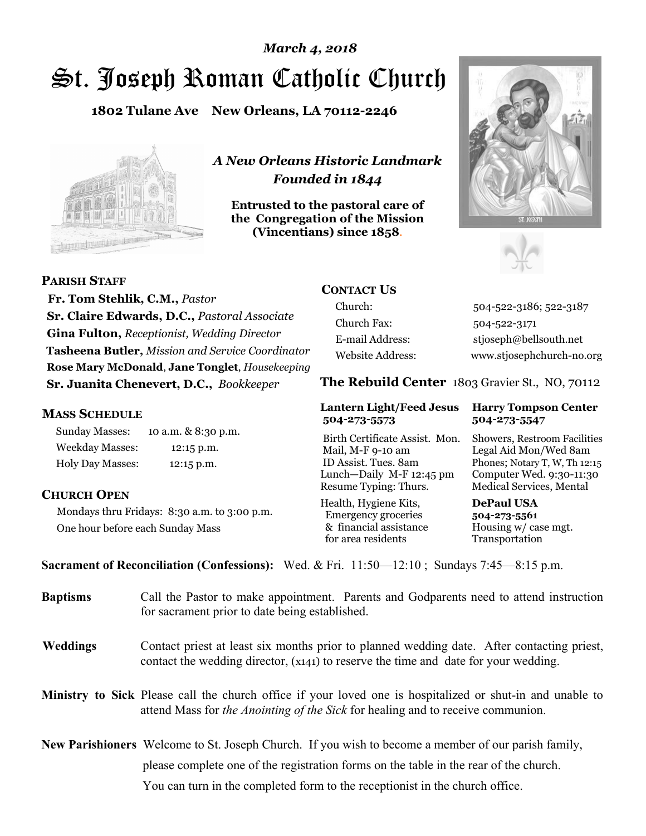# St. Joseph Roman Catholic Church *March 4, 2018*

**1802 Tulane Ave New Orleans, LA 70112-2246**



*A New Orleans Historic Landmark Founded in 1844* 

**Entrusted to the pastoral care of the Congregation of the Mission (Vincentians) since 1858**.





**PARISH STAFF**

 **Fr. Tom Stehlik, C.M.,** *Pastor* **Sr. Claire Edwards, D.C.,** *Pastoral Associate* **Gina Fulton,** *Receptionist, Wedding Director* **Tasheena Butler,** *Mission and Service Coordinator* **Rose Mary McDonald**, **Jane Tonglet**, *Housekeeping* **Sr. Juanita Chenevert, D.C.,** *Bookkeeper* 

## **MASS SCHEDULE**

Sunday Masses: 10 a.m. & 8:30 p.m. Weekday Masses: 12:15 p.m. Holy Day Masses: 12:15 p.m.

## **CHURCH OPEN**

Mondays thru Fridays: 8:30 a.m. to 3:00 p.m. One hour before each Sunday Mass

## **CONTACT US**

Church: 504-522-3186; 522-3187 Church Fax: 504-522-3171 E-mail Address: stjoseph@bellsouth.net Website Address: www.stjosephchurch-no.org

**The Rebuild Center** 1803 Gravier St., NO, 70112

### **Lantern Light/Feed Jesus Harry Tompson Center 504-273-5573 504-273-5547**

Birth Certificate Assist. Mon. Showers, Restroom Facilities Mail, M-F 9-10 am Legal Aid Mon/Wed 8am ID Assist. Tues. 8am Phones; Notary T, W, Th 12:15 Lunch—Daily M-F 12:45 pm Computer Wed. 9:30-11:30 Resume Typing: Thurs. Medical Services, Mental

Health, Hygiene Kits, **DePaul USA**  Emergency groceries **504-273-5561** & financial assistance Housing w/ case mgt.<br>for area residents Transportation for area residents

**Sacrament of Reconciliation (Confessions):** Wed. & Fri. 11:50—12:10 ; Sundays 7:45—8:15 p.m.

| <b>Baptisms</b> | Call the Pastor to make appointment. Parents and Godparents need to attend instruction<br>for sacrament prior to date being established.                                                            |  |
|-----------------|-----------------------------------------------------------------------------------------------------------------------------------------------------------------------------------------------------|--|
| <b>Weddings</b> | Contact priest at least six months prior to planned wedding date. After contacting priest,<br>contact the wedding director, (x141) to reserve the time and date for your wedding.                   |  |
|                 | <b>Ministry to Sick</b> Please call the church office if your loved one is hospitalized or shut-in and unable to<br>attend Mass for the Anointing of the Sick for healing and to receive communion. |  |
|                 | <b>New Parishioners</b> Welcome to St. Joseph Church. If you wish to become a member of our parish family,                                                                                          |  |
|                 | please complete one of the registration forms on the table in the rear of the church.                                                                                                               |  |
|                 | You can turn in the completed form to the reception is the church office.                                                                                                                           |  |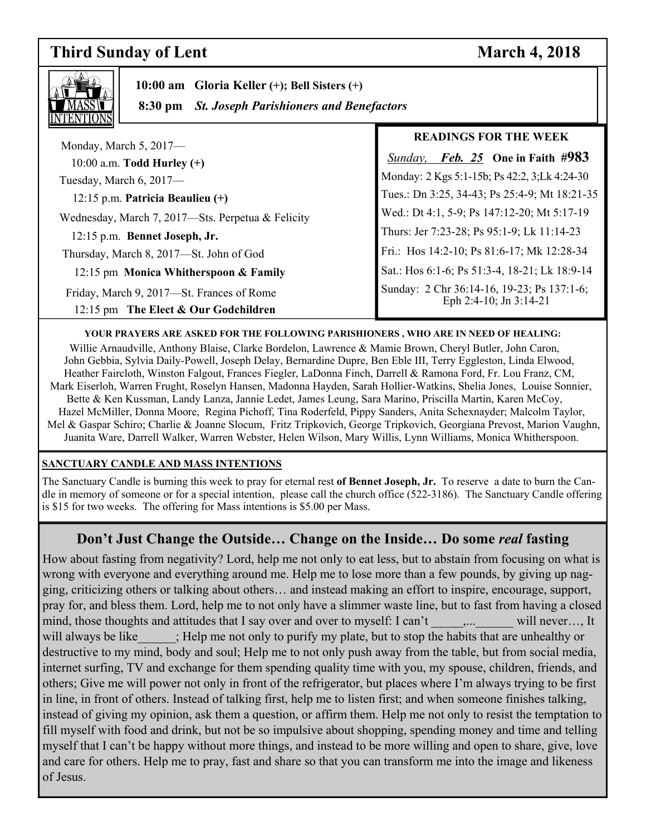## **Third Sunday of Lent** March 4, 2018

٦



 **10:00 am Gloria Keller (+); Bell Sisters (+)** 

 **8:30 pm** *St. Joseph Parishioners and Benefactors*

| Monday, March $5, 2017$ —                                                         | <b>READINGS FOR THE WEEK</b>                                         |
|-----------------------------------------------------------------------------------|----------------------------------------------------------------------|
| 10:00 a.m. Todd Hurley $(+)$                                                      | <b>Sunday, Feb. 25</b> One in Faith #983                             |
| Tuesday, March 6, 2017-                                                           | Monday: 2 Kgs 5:1-15b; Ps 42:2, 3;Lk 4:24-30                         |
| 12:15 p.m. Patricia Beaulieu $(+)$                                                | Tues.: Dn 3:25, 34-43; Ps 25:4-9; Mt 18:21-35                        |
| Wednesday, March 7, 2017-Sts. Perpetua & Felicity                                 | Wed.: Dt 4:1, 5-9; Ps 147:12-20; Mt 5:17-19                          |
| 12:15 p.m. Bennet Joseph, Jr.                                                     | Thurs: Jer 7:23-28; Ps 95:1-9; Lk 11:14-23                           |
| Thursday, March 8, 2017—St. John of God                                           | Fri.: Hos 14:2-10; Ps 81:6-17; Mk 12:28-34                           |
| 12:15 pm Monica Whitherspoon & Family                                             | Sat.: Hos 6:1-6; Ps 51:3-4, 18-21; Lk 18:9-14                        |
| Friday, March 9, 2017-St. Frances of Rome<br>12:15 pm The Elect & Our Godchildren | Sunday: 2 Chr 36:14-16, 19-23; Ps 137:1-6;<br>Eph 2:4-10; Jn 3:14-21 |

## **YOUR PRAYERS ARE ASKED FOR THE FOLLOWING PARISHIONERS , WHO ARE IN NEED OF HEALING:**

Willie Arnaudville, Anthony Blaise, Clarke Bordelon, Lawrence & Mamie Brown, Cheryl Butler, John Caron, John Gebbia, Sylvia Daily-Powell, Joseph Delay, Bernardine Dupre, Ben Eble III, Terry Eggleston, Linda Elwood, Heather Faircloth, Winston Falgout, Frances Fiegler, LaDonna Finch, Darrell & Ramona Ford, Fr. Lou Franz, CM, Mark Eiserloh, Warren Frught, Roselyn Hansen, Madonna Hayden, Sarah Hollier-Watkins, Shelia Jones, Louise Sonnier, Bette & Ken Kussman, Landy Lanza, Jannie Ledet, James Leung, Sara Marino, Priscilla Martin, Karen McCoy, Hazel McMiller, Donna Moore, Regina Pichoff, Tina Roderfeld, Pippy Sanders, Anita Schexnayder; Malcolm Taylor, Mel & Gaspar Schiro; Charlie & Joanne Slocum, Fritz Tripkovich, George Tripkovich, Georgiana Prevost, Marion Vaughn, Juanita Ware, Darrell Walker, Warren Webster, Helen Wilson, Mary Willis, Lynn Williams, Monica Whitherspoon.

## **SANCTUARY CANDLE AND MASS INTENTIONS**

The Sanctuary Candle is burning this week to pray for eternal rest **of Bennet Joseph, Jr.** To reserve a date to burn the Candle in memory of someone or for a special intention, please call the church office (522-3186). The Sanctuary Candle offering is \$15 for two weeks. The offering for Mass intentions is \$5.00 per Mass.

## **Don't Just Change the Outside… Change on the Inside… Do some** *real* **fasting**

How about fasting from negativity? Lord, help me not only to eat less, but to abstain from focusing on what is wrong with everyone and everything around me. Help me to lose more than a few pounds, by giving up nagging, criticizing others or talking about others… and instead making an effort to inspire, encourage, support, pray for, and bless them. Lord, help me to not only have a slimmer waste line, but to fast from having a closed mind, those thoughts and attitudes that I say over and over to myself: I can't \_\_\_\_,... will never..., It will always be like  $\cdot$ ; Help me not only to purify my plate, but to stop the habits that are unhealthy or destructive to my mind, body and soul; Help me to not only push away from the table, but from social media, internet surfing, TV and exchange for them spending quality time with you, my spouse, children, friends, and others; Give me will power not only in front of the refrigerator, but places where I'm always trying to be first in line, in front of others. Instead of talking first, help me to listen first; and when someone finishes talking, instead of giving my opinion, ask them a question, or affirm them. Help me not only to resist the temptation to fill myself with food and drink, but not be so impulsive about shopping, spending money and time and telling myself that I can't be happy without more things, and instead to be more willing and open to share, give, love and care for others. Help me to pray, fast and share so that you can transform me into the image and likeness of Jesus.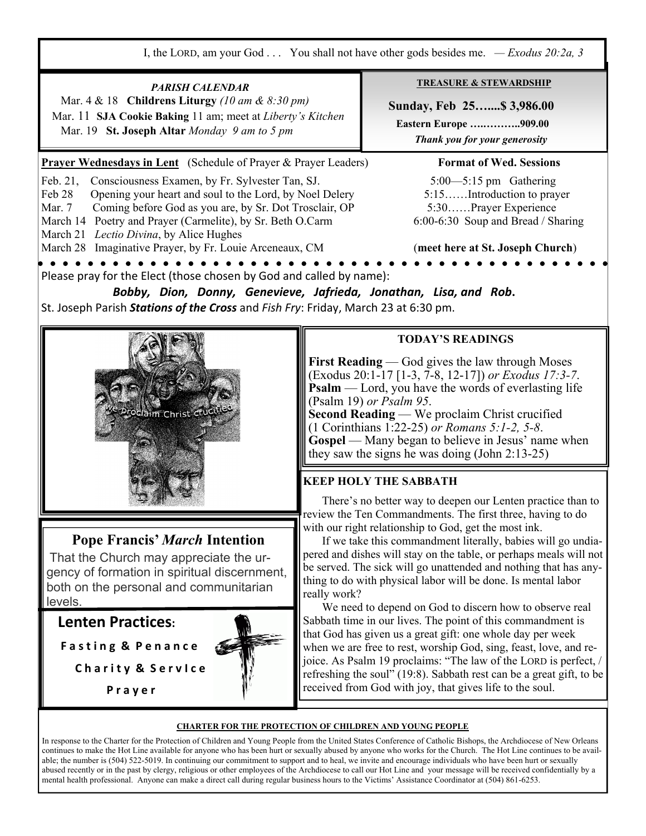I, the LORD, am your God . . . You shall not have other gods besides me. *— Exodus 20:2a, 3*

**TREASURE & STEWARDSHIP** *PARISH CALENDAR*  Mar. 4 & 18 **Childrens Liturgy** *(10 am & 8:30 pm)*   **Sunday, Feb 25…....\$ 3,986.00**  Mar. 11 **SJA Cookie Baking** 11 am; meet at *Liberty's Kitchen*   **Eastern Europe ….………..909.00**  Mar. 19 **St. Joseph Altar** *Monday 9 am to 5 pm Thank you for your generosity*  **Prayer Wednesdays in Lent** (Schedule of Prayer & Prayer Leaders) **Format of Wed. Sessions** Feb. 21, Consciousness Examen, by Fr. Sylvester Tan, SJ. 5:00—5:15 pm Gathering Feb 28 Opening your heart and soul to the Lord, by Noel Delery 5:15……Introduction to prayer Mar. 7 Coming before God as you are, by Sr. Dot Trosclair, OP 5:30……Prayer Experience March 14 Poetry and Prayer (Carmelite), by Sr. Beth O.Carm 6:00-6:30 Soup and Bread / Sharing March 21 *Lectio Divina*, by Alice Hughes March 28 Imaginative Prayer, by Fr. Louie Arceneaux, CM (**meet here at St. Joseph Church**)  $\bullet$   $\bullet$   $\bullet$  $\bullet$   $\bullet$   $\bullet$ Please pray for the Elect (those chosen by God and called by name): *Bobby, Dion, Donny, Genevieve, Jafrieda, Jonathan, Lisa, and Rob***.**  St. Joseph Parish *Stations of the Cross* and *Fish Fry*: Friday, March 23 at 6:30 pm. **TODAY'S READINGS First Reading** — God gives the law through Moses (Exodus 20:1-17 [1-3, 7-8, 12-17]) *or Exodus 17:3-7*. **Psalm** — Lord, you have the words of everlasting life (Psalm 19) *or Psalm 95*. **Second Reading** — We proclaim Christ crucified (1 Corinthians 1:22-25) *or Romans 5:1-2, 5-8*. **Gospel** — Many began to believe in Jesus' name when they saw the signs he was doing (John 2:13-25) **KEEP HOLY THE SABBATH**  There's no better way to deepen our Lenten practice than to review the Ten Commandments. The first three, having to do with our right relationship to God, get the most ink. **Pope Francis'** *March* **Intention**  If we take this commandment literally, babies will go undiapered and dishes will stay on the table, or perhaps meals will not That the Church may appreciate the urbe served. The sick will go unattended and nothing that has anygency of formation in spiritual discernment, thing to do with physical labor will be done. Is mental labor both on the personal and communitarian really work? levels. We need to depend on God to discern how to observe real **Lenten Practices:** Sabbath time in our lives. The point of this commandment is that God has given us a great gift: one whole day per week **F a s t i n g & P e n a n c e** when we are free to rest, worship God, sing, feast, love, and rejoice. As Psalm 19 proclaims: "The law of the LORD is perfect, / **C h a r i t y & S e r v I c e**  refreshing the soul" (19:8). Sabbath rest can be a great gift, to be received from God with joy, that gives life to the soul.  **P r a y e rCHARTER FOR THE PROTECTION OF CHILDREN AND YOUNG PEOPLE**

In response to the Charter for the Protection of Children and Young People from the United States Conference of Catholic Bishops, the Archdiocese of New Orleans continues to make the Hot Line available for anyone who has been hurt or sexually abused by anyone who works for the Church. The Hot Line continues to be available; the number is (504) 522-5019. In continuing our commitment to support and to heal, we invite and encourage individuals who have been hurt or sexually abused recently or in the past by clergy, religious or other employees of the Archdiocese to call our Hot Line and your message will be received confidentially by a mental health professional. Anyone can make a direct call during regular business hours to the Victims' Assistance Coordinator at (504) 861-6253.